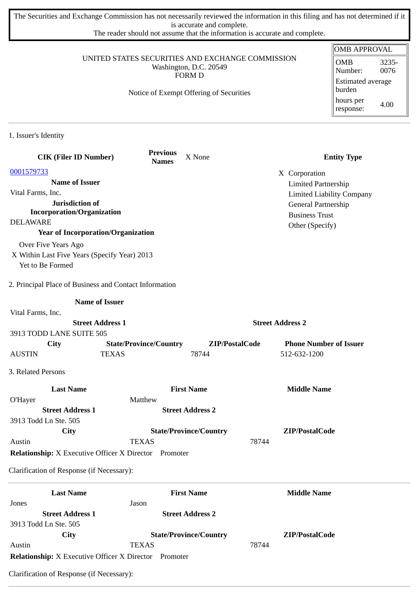The Securities and Exchange Commission has not necessarily reviewed the information in this filing and has not determined if it is accurate and complete.

The reader should not assume that the information is accurate and complete.

|                                                                                             |                                                              |                               |                         | <b>OMB APPROVAL</b>                                                |
|---------------------------------------------------------------------------------------------|--------------------------------------------------------------|-------------------------------|-------------------------|--------------------------------------------------------------------|
| UNITED STATES SECURITIES AND EXCHANGE COMMISSION<br>Washington, D.C. 20549<br><b>FORM D</b> |                                                              |                               |                         | <b>OMB</b><br>3235-<br>Number:<br>0076<br><b>Estimated average</b> |
|                                                                                             | Notice of Exempt Offering of Securities                      |                               |                         | burden<br>hours per<br>4.00<br>response:                           |
| 1. Issuer's Identity                                                                        |                                                              |                               |                         |                                                                    |
| <b>CIK (Filer ID Number)</b>                                                                | <b>Previous</b><br><b>Names</b>                              | X None                        |                         | <b>Entity Type</b>                                                 |
| 0001579733                                                                                  |                                                              |                               | X Corporation           |                                                                    |
| <b>Name of Issuer</b>                                                                       |                                                              |                               |                         | <b>Limited Partnership</b>                                         |
| Vital Farms, Inc.                                                                           |                                                              |                               |                         | <b>Limited Liability Company</b>                                   |
| Jurisdiction of                                                                             |                                                              |                               |                         | General Partnership                                                |
| <b>Incorporation/Organization</b><br><b>DELAWARE</b>                                        |                                                              |                               | <b>Business Trust</b>   |                                                                    |
|                                                                                             | <b>Year of Incorporation/Organization</b>                    |                               | Other (Specify)         |                                                                    |
| Over Five Years Ago                                                                         |                                                              |                               |                         |                                                                    |
| X Within Last Five Years (Specify Year) 2013                                                |                                                              |                               |                         |                                                                    |
| Yet to Be Formed                                                                            |                                                              |                               |                         |                                                                    |
|                                                                                             | 2. Principal Place of Business and Contact Information       |                               |                         |                                                                    |
|                                                                                             | <b>Name of Issuer</b>                                        |                               |                         |                                                                    |
| Vital Farms, Inc.                                                                           |                                                              |                               |                         |                                                                    |
|                                                                                             | <b>Street Address 1</b>                                      |                               | <b>Street Address 2</b> |                                                                    |
| 3913 TODD LANE SUITE 505                                                                    |                                                              |                               |                         |                                                                    |
| City                                                                                        | <b>State/Province/Country</b>                                | ZIP/PostalCode                |                         | <b>Phone Number of Issuer</b>                                      |
| <b>AUSTIN</b>                                                                               | <b>TEXAS</b>                                                 | 78744                         | 512-632-1200            |                                                                    |
| 3. Related Persons                                                                          |                                                              |                               |                         |                                                                    |
| <b>Last Name</b>                                                                            |                                                              | <b>First Name</b>             | <b>Middle Name</b>      |                                                                    |
| O'Hayer                                                                                     | Matthew                                                      |                               |                         |                                                                    |
| <b>Street Address 1</b>                                                                     |                                                              | <b>Street Address 2</b>       |                         |                                                                    |
| 3913 Todd Ln Ste. 505                                                                       |                                                              |                               |                         |                                                                    |
| <b>City</b>                                                                                 |                                                              | <b>State/Province/Country</b> | ZIP/PostalCode          |                                                                    |
| Austin                                                                                      | <b>TEXAS</b>                                                 |                               | 78744                   |                                                                    |
|                                                                                             | <b>Relationship:</b> X Executive Officer X Director Promoter |                               |                         |                                                                    |
| Clarification of Response (if Necessary):                                                   |                                                              |                               |                         |                                                                    |
| <b>Last Name</b>                                                                            |                                                              | <b>First Name</b>             | <b>Middle Name</b>      |                                                                    |
| Jones                                                                                       | Jason                                                        |                               |                         |                                                                    |
| <b>Street Address 1</b>                                                                     |                                                              | <b>Street Address 2</b>       |                         |                                                                    |
| 3913 Todd Ln Ste. 505                                                                       |                                                              |                               |                         |                                                                    |
| City                                                                                        |                                                              | <b>State/Province/Country</b> | ZIP/PostalCode          |                                                                    |
| Austin                                                                                      | <b>TEXAS</b>                                                 |                               | 78744                   |                                                                    |

**Relationship:** X Executive Officer X Director Promoter

Clarification of Response (if Necessary):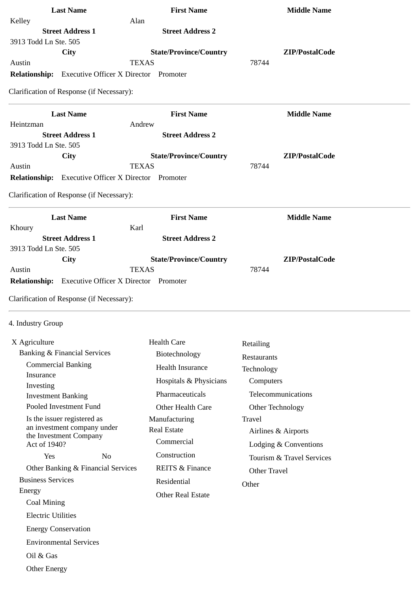|                                                                | <b>First Name</b>                             | <b>Middle Name</b>        |
|----------------------------------------------------------------|-----------------------------------------------|---------------------------|
| Kelley                                                         | Alan                                          |                           |
| <b>Street Address 1</b>                                        | <b>Street Address 2</b>                       |                           |
| 3913 Todd Ln Ste. 505                                          |                                               |                           |
| <b>City</b><br>Austin                                          | <b>State/Province/Country</b><br><b>TEXAS</b> | ZIP/PostalCode<br>78744   |
| <b>Relationship:</b> Executive Officer X Director Promoter     |                                               |                           |
|                                                                |                                               |                           |
| Clarification of Response (if Necessary):                      |                                               |                           |
| <b>Last Name</b>                                               | <b>First Name</b>                             | <b>Middle Name</b>        |
| Heintzman                                                      | Andrew                                        |                           |
| <b>Street Address 1</b><br>3913 Todd Ln Ste. 505               | <b>Street Address 2</b>                       |                           |
| City                                                           | <b>State/Province/Country</b>                 | ZIP/PostalCode            |
| Austin                                                         | <b>TEXAS</b>                                  | 78744                     |
| <b>Relationship:</b> Executive Officer X Director Promoter     |                                               |                           |
|                                                                |                                               |                           |
| Clarification of Response (if Necessary):                      |                                               |                           |
| <b>Last Name</b>                                               | <b>First Name</b>                             | <b>Middle Name</b>        |
| Khoury                                                         | Karl                                          |                           |
| <b>Street Address 1</b><br>3913 Todd Ln Ste. 505               | <b>Street Address 2</b>                       |                           |
| City                                                           | <b>State/Province/Country</b>                 | ZIP/PostalCode            |
| Austin                                                         | <b>TEXAS</b>                                  | 78744                     |
| <b>Relationship:</b> Executive Officer X Director Promoter     |                                               |                           |
|                                                                |                                               |                           |
| Clarification of Response (if Necessary):                      |                                               |                           |
| 4. Industry Group                                              |                                               |                           |
|                                                                |                                               |                           |
|                                                                |                                               |                           |
| X Agriculture                                                  | <b>Health Care</b>                            | Retailing                 |
| <b>Banking &amp; Financial Services</b>                        | Biotechnology                                 | <b>Restaurants</b>        |
| <b>Commercial Banking</b>                                      | Health Insurance                              | Technology                |
| Insurance<br>Investing                                         | Hospitals & Physicians                        | Computers                 |
| <b>Investment Banking</b>                                      | Pharmaceuticals                               | Telecommunications        |
| Pooled Investment Fund                                         | Other Health Care                             | Other Technology          |
| Is the issuer registered as                                    | Manufacturing                                 | <b>Travel</b>             |
| an investment company under                                    | <b>Real Estate</b>                            | Airlines & Airports       |
| the Investment Company<br>Act of 1940?                         | Commercial                                    |                           |
| Yes<br>N <sub>o</sub>                                          | Construction                                  | Lodging & Conventions     |
|                                                                | <b>REITS &amp; Finance</b>                    | Tourism & Travel Services |
| Other Banking & Financial Services<br><b>Business Services</b> |                                               | Other Travel              |
| Energy                                                         | Residential                                   | Other                     |
| <b>Coal Mining</b>                                             | <b>Other Real Estate</b>                      |                           |
| <b>Electric Utilities</b>                                      |                                               |                           |
|                                                                |                                               |                           |
| <b>Energy Conservation</b>                                     |                                               |                           |
| <b>Environmental Services</b>                                  |                                               |                           |
| Oil & Gas<br><b>Other Energy</b>                               |                                               |                           |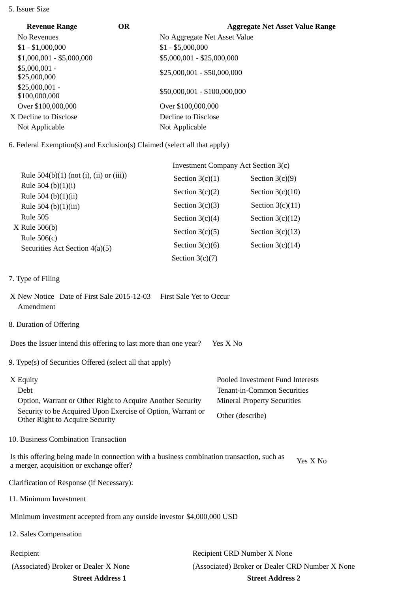## 5. Issuer Size

| <b>Revenue Range</b>             | <b>OR</b> | <b>Aggregate Net Asset Value Range</b> |
|----------------------------------|-----------|----------------------------------------|
| No Revenues                      |           | No Aggregate Net Asset Value           |
| $$1 - $1,000,000$                |           | $$1 - $5,000,000$                      |
| $$1,000,001 - $5,000,000$        |           | \$5,000,001 - \$25,000,000             |
| $$5,000,001 -$<br>\$25,000,000   |           | $$25,000,001 - $50,000,000$            |
| $$25,000,001 -$<br>\$100,000,000 |           | \$50,000,001 - \$100,000,000           |
| Over \$100,000,000               |           | Over \$100,000,000                     |
| X Decline to Disclose            |           | Decline to Disclose                    |
| Not Applicable                   |           | Not Applicable                         |

6. Federal Exemption(s) and Exclusion(s) Claimed (select all that apply)

|                                                 | Investment Company Act Section 3(c) |                    |  |
|-------------------------------------------------|-------------------------------------|--------------------|--|
| Rule $504(b)(1)$ (not (i), (ii) or (iii))       | Section $3(c)(1)$                   | Section $3(c)(9)$  |  |
| Rule 504 (b) $(1)(i)$                           | Section $3(c)(2)$                   | Section $3(c)(10)$ |  |
| Rule 504 (b) $(1)(ii)$<br>Rule 504 (b)(1)(iii)  | Section $3(c)(3)$                   | Section $3(c)(11)$ |  |
| Rule 505                                        | Section $3(c)(4)$                   | Section $3(c)(12)$ |  |
| $X$ Rule 506(b)                                 | Section $3(c)(5)$                   | Section $3(c)(13)$ |  |
| Rule $506(c)$<br>Securities Act Section 4(a)(5) | Section $3(c)(6)$                   | Section $3(c)(14)$ |  |
|                                                 | Section $3(c)(7)$                   |                    |  |

- 7. Type of Filing
- X New Notice Date of First Sale 2015-12-03 First Sale Yet to Occur Amendment
- 8. Duration of Offering

Does the Issuer intend this offering to last more than one year? Yes X No

9. Type(s) of Securities Offered (select all that apply)

| X Equity                                                                                       | Pooled Investment Fund Interests   |
|------------------------------------------------------------------------------------------------|------------------------------------|
| Debt                                                                                           | Tenant-in-Common Securities        |
| Option, Warrant or Other Right to Acquire Another Security                                     | <b>Mineral Property Securities</b> |
| Security to be Acquired Upon Exercise of Option, Warrant or<br>Other Right to Acquire Security | Other (describe)                   |

10. Business Combination Transaction

Is this offering being made in connection with a business combination transaction, such as is this oriening being made in connection with a business combination transaction, such as  $Y$ es X No a merger, acquisition or exchange offer?

Clarification of Response (if Necessary):

11. Minimum Investment

Minimum investment accepted from any outside investor \$4,000,000 USD

12. Sales Compensation

Recipient Recipient CRD Number X None (Associated) Broker or Dealer X None (Associated) Broker or Dealer CRD Number X None **Street Address 1 Street Address 2**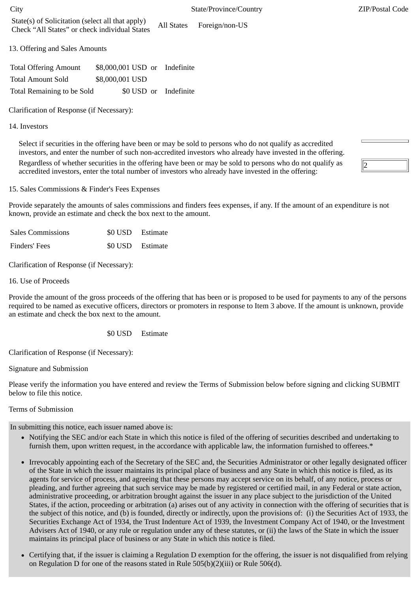13. Offering and Sales Amounts

| <b>Total Offering Amount</b> | \$8,000,001 USD or Indefinite |  |
|------------------------------|-------------------------------|--|
| <b>Total Amount Sold</b>     | \$8,000,001 USD               |  |
| Total Remaining to be Sold   | \$0 USD or Indefinite         |  |

Clarification of Response (if Necessary):

14. Investors

Select if securities in the offering have been or may be sold to persons who do not qualify as accredited investors, and enter the number of such non-accredited investors who already have invested in the offering. Regardless of whether securities in the offering have been or may be sold to persons who do not qualify as

accredited investors, enter the total number of investors who already have invested in the offering:

15. Sales Commissions & Finder's Fees Expenses

Provide separately the amounts of sales commissions and finders fees expenses, if any. If the amount of an expenditure is not known, provide an estimate and check the box next to the amount.

| Sales Commissions | \$0 USD Estimate |
|-------------------|------------------|
| Finders' Fees     | \$0 USD Estimate |

Clarification of Response (if Necessary):

16. Use of Proceeds

Provide the amount of the gross proceeds of the offering that has been or is proposed to be used for payments to any of the persons required to be named as executive officers, directors or promoters in response to Item 3 above. If the amount is unknown, provide an estimate and check the box next to the amount.

\$0 USD Estimate

Clarification of Response (if Necessary):

Signature and Submission

Please verify the information you have entered and review the Terms of Submission below before signing and clicking SUBMIT below to file this notice.

## Terms of Submission

In submitting this notice, each issuer named above is:

- Notifying the SEC and/or each State in which this notice is filed of the offering of securities described and undertaking to furnish them, upon written request, in the accordance with applicable law, the information furnished to offerees.\*
- Irrevocably appointing each of the Secretary of the SEC and, the Securities Administrator or other legally designated officer of the State in which the issuer maintains its principal place of business and any State in which this notice is filed, as its agents for service of process, and agreeing that these persons may accept service on its behalf, of any notice, process or pleading, and further agreeing that such service may be made by registered or certified mail, in any Federal or state action, administrative proceeding, or arbitration brought against the issuer in any place subject to the jurisdiction of the United States, if the action, proceeding or arbitration (a) arises out of any activity in connection with the offering of securities that is the subject of this notice, and (b) is founded, directly or indirectly, upon the provisions of: (i) the Securities Act of 1933, the Securities Exchange Act of 1934, the Trust Indenture Act of 1939, the Investment Company Act of 1940, or the Investment Advisers Act of 1940, or any rule or regulation under any of these statutes, or (ii) the laws of the State in which the issuer maintains its principal place of business or any State in which this notice is filed.
- Certifying that, if the issuer is claiming a Regulation D exemption for the offering, the issuer is not disqualified from relying on Regulation D for one of the reasons stated in Rule 505(b)(2)(iii) or Rule 506(d).

2